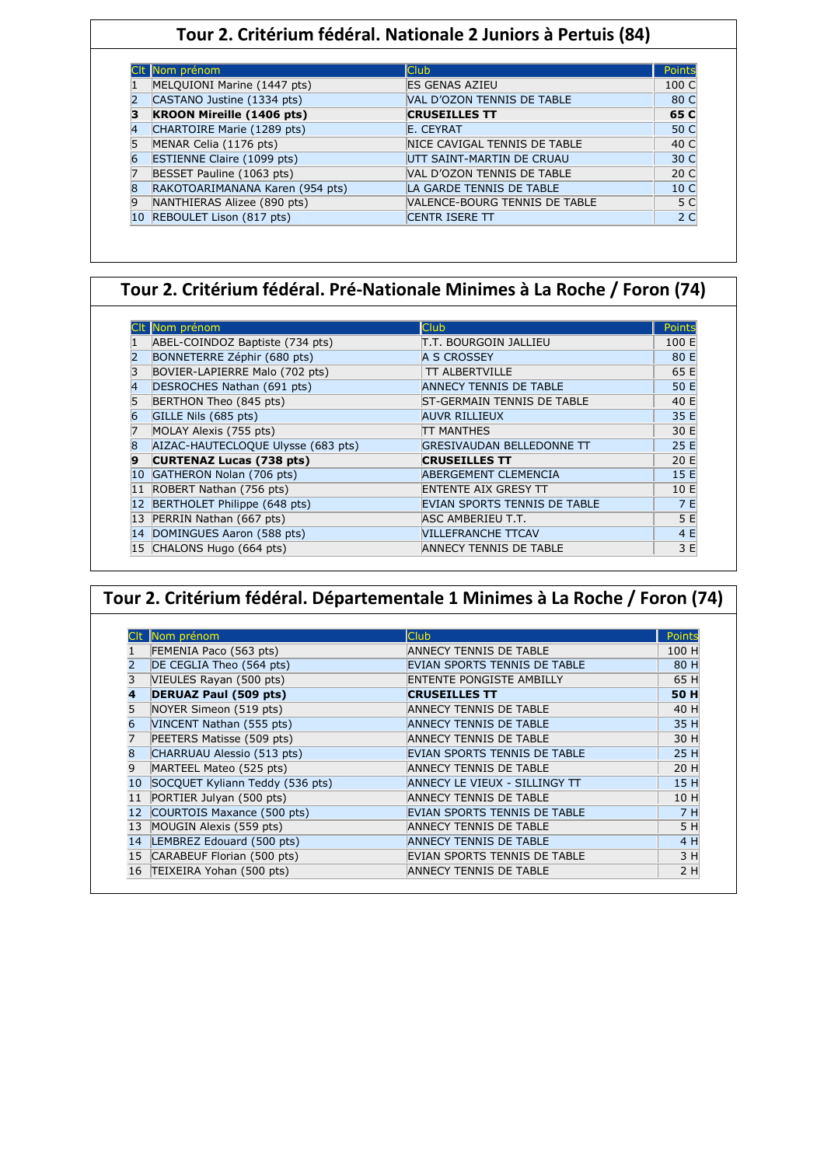### **Tour 2. Critérium fédéral. Nationale 2 Juniors à Pertuis (84)**

|              | Nom prénom                        | <b>Club</b>                          | Points          |
|--------------|-----------------------------------|--------------------------------------|-----------------|
|              | MELQUIONI Marine (1447 pts)       | <b>ES GENAS AZIEU</b>                | 100 C           |
|              | CASTANO Justine (1334 pts)        | VAL D'OZON TENNIS DE TABLE           | 80 C            |
|              | <b>KROON Mireille (1406 pts)</b>  | <b>CRUSEILLES TT</b>                 | 65 C            |
|              | CHARTOIRE Marie (1289 pts)        | E. CEYRAT                            | 50 C            |
|              | MENAR Celia (1176 pts)            | NICE CAVIGAL TENNIS DE TABLE         | 40 C            |
|              | <b>ESTIENNE Claire (1099 pts)</b> | UTT SAINT-MARTIN DE CRUAU            | 30 C            |
|              | BESSET Pauline (1063 pts)         | VAL D'OZON TENNIS DE TABLE           | 20 C            |
| <sub>8</sub> | RAKOTOARIMANANA Karen (954 pts)   | LA GARDE TENNIS DE TABLE             | 10 <sup>C</sup> |
|              | NANTHIERAS Alizee (890 pts)       | <b>VALENCE-BOURG TENNIS DE TABLE</b> | 5 C             |
|              | REBOULET Lison (817 pts)          | <b>CENTR ISERE TT</b>                | 2 <sub>C</sub>  |

### **Tour 2. Critérium fédéral. Pré-Nationale Minimes à La Roche / Foron (74)**

|    | CIt Nom prénom                     | <b>Club</b>                       | <b>Points</b> |
|----|------------------------------------|-----------------------------------|---------------|
|    | ABEL-COINDOZ Baptiste (734 pts)    | T.T. BOURGOIN JALLIEU             | 100 E         |
|    | BONNETERRE Zéphir (680 pts)        | A S CROSSEY                       | 80 E          |
|    | BOVIER-LAPIERRE Malo (702 pts)     | <b>TT ALBERTVILLE</b>             | 65 E          |
| 4  | DESROCHES Nathan (691 pts)         | <b>ANNECY TENNIS DE TABLE</b>     | 50 E          |
|    | BERTHON Theo (845 pts)             | <b>ST-GERMAIN TENNIS DE TABLE</b> | 40 E          |
|    | GILLE Nils (685 pts)               | <b>AUVR RILLIEUX</b>              | 35 E          |
|    | MOLAY Alexis (755 pts)             | <b>TT MANTHES</b>                 | 30 E          |
| 8  | AIZAC-HAUTECLOQUE Ulysse (683 pts) | <b>GRESIVAUDAN BELLEDONNE TT</b>  | 25 E          |
| q  | <b>CURTENAZ Lucas (738 pts)</b>    | <b>CRUSEILLES TT</b>              | 20 E          |
| 10 | GATHERON Nolan (706 pts)           | <b>ABERGEMENT CLEMENCIA</b>       | 15 E          |
| 11 | ROBERT Nathan (756 pts)            | <b>ENTENTE AIX GRESY TT</b>       | 10 E          |
| 12 | BERTHOLET Philippe (648 pts)       | EVIAN SPORTS TENNIS DE TABLE      | 7 E           |
|    | 13 PERRIN Nathan (667 pts)         | ASC AMBERIEU T.T.                 | 5 E           |
|    | 14 DOMINGUES Aaron (588 pts)       | <b>VILLEFRANCHE TTCAV</b>         | 4 E           |
|    | 15 CHALONS Hugo (664 pts)          | <b>ANNECY TENNIS DE TABLE</b>     | 3 E           |

| Tour 2. Critérium fédéral. Départementale 1 Minimes à La Roche / Foron (74) |                                 |                                 |             |  |
|-----------------------------------------------------------------------------|---------------------------------|---------------------------------|-------------|--|
|                                                                             |                                 |                                 |             |  |
|                                                                             | Nom prénom                      | <b>Club</b>                     | Points      |  |
|                                                                             | FEMENIA Paco (563 pts)          | ANNECY TENNIS DE TABLE          | 100 H       |  |
|                                                                             | DE CEGLIA Theo (564 pts)        | EVIAN SPORTS TENNIS DE TABLE    | 80 H        |  |
|                                                                             | VIEULES Rayan (500 pts)         | <b>ENTENTE PONGISTE AMBILLY</b> | 65 H        |  |
| 4                                                                           | <b>DERUAZ Paul (509 pts)</b>    | <b>CRUSEILLES TT</b>            | <b>50 H</b> |  |
|                                                                             | NOYER Simeon (519 pts)          | ANNECY TENNIS DE TABLE          | 40 H        |  |
| 6                                                                           | VINCENT Nathan (555 pts)        | <b>ANNECY TENNIS DE TABLE</b>   | 35 H        |  |
|                                                                             | PEETERS Matisse (509 pts)       | <b>ANNECY TENNIS DE TABLE</b>   | 30 H        |  |
| 8                                                                           | CHARRUAU Alessio (513 pts)      | EVIAN SPORTS TENNIS DE TABLE    | 25 H        |  |
| 9                                                                           | MARTEEL Mateo (525 pts)         | ANNECY TENNIS DE TABLE          | 20 H        |  |
| 10                                                                          | SOCQUET Kyliann Teddy (536 pts) | ANNECY LE VIEUX - SILLINGY TT   | 15 H        |  |
| 11                                                                          | PORTIER Julyan (500 pts)        | ANNECY TENNIS DE TABLE          | 10H         |  |
| 12                                                                          | COURTOIS Maxance (500 pts)      | EVIAN SPORTS TENNIS DE TABLE    | 7H          |  |
| 13                                                                          | MOUGIN Alexis (559 pts)         | ANNECY TENNIS DE TABLE          | 5H          |  |
| 14                                                                          | LEMBREZ Edouard (500 pts)       | <b>ANNECY TENNIS DE TABLE</b>   | 4 H         |  |
| 15                                                                          | CARABEUF Florian (500 pts)      | EVIAN SPORTS TENNIS DE TABLE    | 3H          |  |
| 16                                                                          | TEIXEIRA Yohan (500 pts)        | <b>ANNECY TENNIS DE TABLE</b>   | 2H          |  |

Ι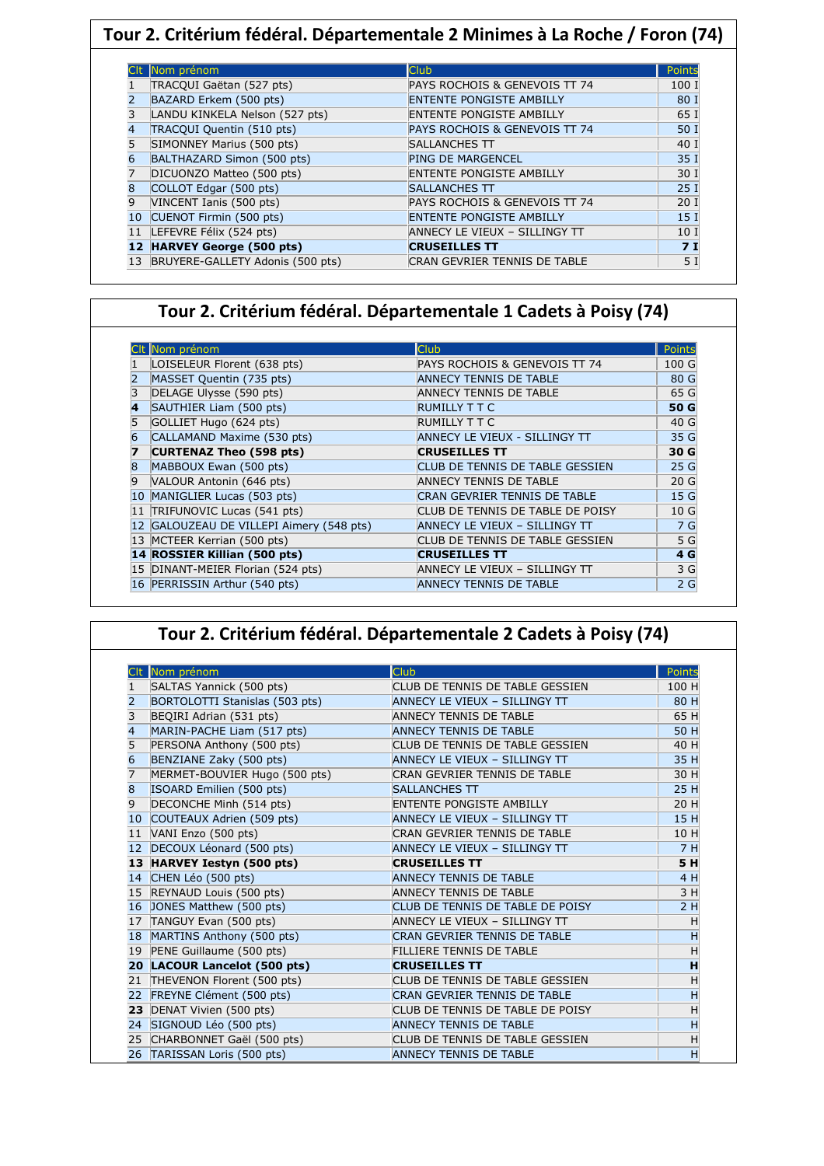|    | Tour 2. Critérium fédéral. Départementale 2 Minimes à La Roche / Foron (74) |                                 |                 |  |
|----|-----------------------------------------------------------------------------|---------------------------------|-----------------|--|
|    |                                                                             |                                 |                 |  |
|    | Nom prénom                                                                  | <b>Club</b>                     | Points          |  |
|    | TRACQUI Gaëtan (527 pts)                                                    | PAYS ROCHOIS & GENEVOIS TT 74   | 100 I           |  |
|    | BAZARD Erkem (500 pts)                                                      | <b>ENTENTE PONGISTE AMBILLY</b> | 80 I            |  |
| 3  | LANDU KINKELA Nelson (527 pts)                                              | ENTENTE PONGISTE AMBILLY        | 65 I            |  |
| 4  | TRACQUI Quentin (510 pts)                                                   | PAYS ROCHOIS & GENEVOIS TT 74   | 50 I            |  |
| 5  | SIMONNEY Marius (500 pts)                                                   | <b>SALLANCHES TT</b>            | 40 I            |  |
| 6  | BALTHAZARD Simon (500 pts)                                                  | PING DE MARGENCEL               | 35 I            |  |
| 7  | DICUONZO Matteo (500 pts)                                                   | <b>ENTENTE PONGISTE AMBILLY</b> | 30 I            |  |
| 8  | COLLOT Edgar (500 pts)                                                      | <b>SALLANCHES TT</b>            | 25I             |  |
| 9  | VINCENT Ianis (500 pts)                                                     | PAYS ROCHOIS & GENEVOIS TT 74   | 20I             |  |
| 10 | CUENOT Firmin (500 pts)                                                     | <b>ENTENTE PONGISTE AMBILLY</b> | 15 <sub>1</sub> |  |
| 11 | LEFEVRE Félix (524 pts)                                                     | ANNECY LE VIEUX - SILLINGY TT   | 10 I            |  |
|    | 12 HARVEY George (500 pts)                                                  | <b>CRUSEILLES TT</b>            | 7I              |  |
| 13 | BRUYERE-GALLETY Adonis (500 pts)                                            | CRAN GEVRIER TENNIS DE TABLE    | 5I              |  |

### **Tour 2. Critérium fédéral. Départementale 1 Cadets à Poisy (74)**

ׅ֡֡֡֡֡֬֡

|   | CIt Nom prénom                           | <b>Club</b>                         | <b>Points</b>    |
|---|------------------------------------------|-------------------------------------|------------------|
|   | LOISELEUR Florent (638 pts)              | PAYS ROCHOIS & GENEVOIS TT 74       | 100 <sub>G</sub> |
|   | MASSET Quentin (735 pts)                 | <b>ANNECY TENNIS DE TABLE</b>       | 80 G             |
|   | DELAGE Ulysse (590 pts)                  | <b>ANNECY TENNIS DE TABLE</b>       | 65 G             |
| 4 | SAUTHIER Liam (500 pts)                  | <b>RUMILLY T T C</b>                | 50 G             |
|   | GOLLIET Hugo (624 pts)                   | RUMILLY T T C                       | 40 G             |
|   | CALLAMAND Maxime (530 pts)               | ANNECY LE VIEUX - SILLINGY TT       | 35 G             |
|   | <b>CURTENAZ Theo (598 pts)</b>           | <b>CRUSEILLES TT</b>                | 30 G             |
|   | MABBOUX Ewan (500 pts)                   | CLUB DE TENNIS DE TABLE GESSIEN     | 25 G             |
| 9 | VALOUR Antonin (646 pts)                 | <b>ANNECY TENNIS DE TABLE</b>       | 20 <sub>G</sub>  |
|   | 10 MANIGLIER Lucas (503 pts)             | <b>CRAN GEVRIER TENNIS DE TABLE</b> | 15 G             |
|   | 11 TRIFUNOVIC Lucas (541 pts)            | CLUB DE TENNIS DE TABLE DE POISY    | 10G              |
|   | 12 GALOUZEAU DE VILLEPI Aimery (548 pts) | ANNECY LE VIEUX - SILLINGY TT       | 7 G              |
|   | 13 MCTEER Kerrian (500 pts)              | CLUB DE TENNIS DE TABLE GESSIEN     | 5 G              |
|   | 14 ROSSIER Killian (500 pts)             | <b>CRUSEILLES TT</b>                | 4 G              |
|   | 15 DINANT-MEIER Florian (524 pts)        | ANNECY LE VIEUX - SILLINGY TT       | 3 G              |
|   | 16 PERRISSIN Arthur (540 pts)            | ANNECY TENNIS DE TABLE              | 2 <sub>G</sub>   |

## **Tour 2. Critérium fédéral. Départementale 2 Cadets à Poisy (74)**

|                   | Nom prénom                     | <b>Club</b>                         | Points |
|-------------------|--------------------------------|-------------------------------------|--------|
|                   | SALTAS Yannick (500 pts)       | CLUB DE TENNIS DE TABLE GESSIEN     | 100 H  |
| 2                 | BORTOLOTTI Stanislas (503 pts) | ANNECY LE VIEUX - SILLINGY TT       | 80 H   |
| 3                 | BEQIRI Adrian (531 pts)        | <b>ANNECY TENNIS DE TABLE</b>       | 65 H   |
| 4                 | MARIN-PACHE Liam (517 pts)     | <b>ANNECY TENNIS DE TABLE</b>       | 50 H   |
| 5                 | PERSONA Anthony (500 pts)      | CLUB DE TENNIS DE TABLE GESSIEN     | 40 H   |
| $\overline{6}$    | BENZIANE Zaky (500 pts)        | ANNECY LE VIEUX - SILLINGY TT       | 35 H   |
| 7                 | MERMET-BOUVIER Hugo (500 pts)  | CRAN GEVRIER TENNIS DE TABLE        | 30 H   |
| $\overline{8}$    | ISOARD Emilien (500 pts)       | <b>SALLANCHES TT</b>                | 25 H   |
| 9                 | DECONCHE Minh (514 pts)        | <b>ENTENTE PONGISTE AMBILLY</b>     | 20 H   |
| $ 10\rangle$      | COUTEAUX Adrien (509 pts)      | ANNECY LE VIEUX - SILLINGY TT       | 15 H   |
| 11                | VANI Enzo (500 pts)            | CRAN GEVRIER TENNIS DE TABLE        | 10 H   |
| $12 \overline{ }$ | DECOUX Léonard (500 pts)       | ANNECY LE VIEUX - SILLINGY TT       | 7H     |
|                   | 13 HARVEY Iestyn (500 pts)     | <b>CRUSEILLES TT</b>                | 5H     |
| 14                | CHEN Léo (500 pts)             | ANNECY TENNIS DE TABLE              | 4 H    |
| 15                | REYNAUD Louis (500 pts)        | <b>ANNECY TENNIS DE TABLE</b>       | 3H     |
| 16                | JONES Matthew (500 pts)        | CLUB DE TENNIS DE TABLE DE POISY    | 2H     |
| 17                | TANGUY Evan (500 pts)          | ANNECY LE VIEUX - SILLINGY TT       | Η      |
| 18                | MARTINS Anthony (500 pts)      | CRAN GEVRIER TENNIS DE TABLE        | Н      |
| 19                | PENE Guillaume (500 pts)       | <b>FILLIERE TENNIS DE TABLE</b>     | Н      |
|                   | 20 LACOUR Lancelot (500 pts)   | <b>CRUSEILLES TT</b>                | н      |
| 21                | THEVENON Florent (500 pts)     | CLUB DE TENNIS DE TABLE GESSIEN     | Η      |
| 22                | FREYNE Clément (500 pts)       | <b>CRAN GEVRIER TENNIS DE TABLE</b> | H      |
| 23                | DENAT Vivien (500 pts)         | CLUB DE TENNIS DE TABLE DE POISY    | Η      |
| 24                | SIGNOUD Léo (500 pts)          | <b>ANNECY TENNIS DE TABLE</b>       | H      |
| 25                | CHARBONNET Gaël (500 pts)      | CLUB DE TENNIS DE TABLE GESSIEN     | Η      |
| 26                | TARISSAN Loris (500 pts)       | <b>ANNECY TENNIS DE TABLE</b>       | Н      |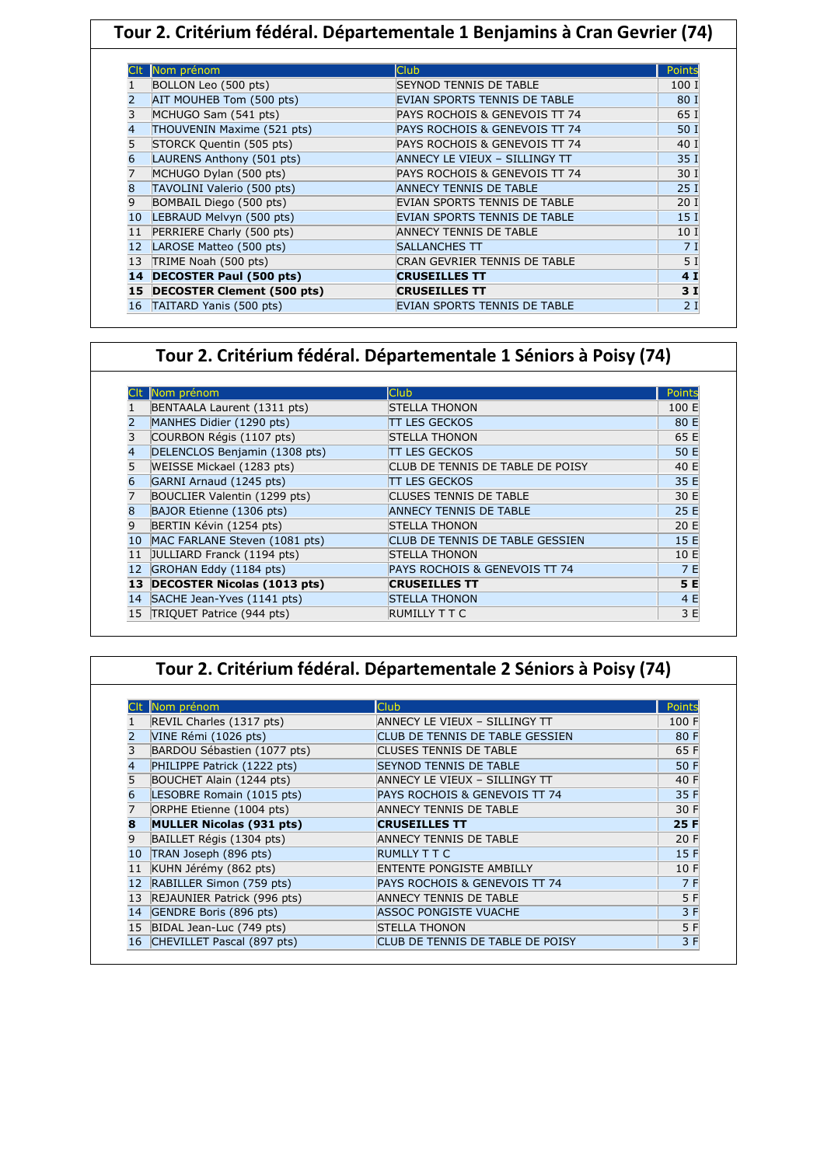| Tour 2. Critérium fédéral. Départementale 1 Benjamins à Cran Gevrier (74) |                               |                               |                 |  |
|---------------------------------------------------------------------------|-------------------------------|-------------------------------|-----------------|--|
|                                                                           |                               |                               |                 |  |
|                                                                           | Nom prénom                    | Club                          | Points          |  |
|                                                                           | BOLLON Leo (500 pts)          | SEYNOD TENNIS DE TABLE        | 100 I           |  |
|                                                                           | AIT MOUHEB Tom (500 pts)      | EVIAN SPORTS TENNIS DE TABLE  | 80 I            |  |
| 3                                                                         | MCHUGO Sam (541 pts)          | PAYS ROCHOIS & GENEVOIS TT 74 | 65 I            |  |
| 4                                                                         | THOUVENIN Maxime (521 pts)    | PAYS ROCHOIS & GENEVOIS TT 74 | 50 I            |  |
|                                                                           | STORCK Quentin (505 pts)      | PAYS ROCHOIS & GENEVOIS TT 74 | 40 I            |  |
| 6                                                                         | LAURENS Anthony (501 pts)     | ANNECY LE VIEUX - SILLINGY TT | 35 I            |  |
|                                                                           | MCHUGO Dylan (500 pts)        | PAYS ROCHOIS & GENEVOIS TT 74 | 30 I            |  |
| 8                                                                         | TAVOLINI Valerio (500 pts)    | <b>ANNECY TENNIS DE TABLE</b> | 25I             |  |
| 9                                                                         | BOMBAIL Diego (500 pts)       | EVIAN SPORTS TENNIS DE TABLE  | 20I             |  |
| 10                                                                        | LEBRAUD Melvyn (500 pts)      | EVIAN SPORTS TENNIS DE TABLE  | 15 <sub>1</sub> |  |
| 11                                                                        | PERRIERE Charly (500 pts)     | <b>ANNECY TENNIS DE TABLE</b> | 10 <sub>1</sub> |  |
| 12                                                                        | LAROSE Matteo (500 pts)       | <b>SALLANCHES TT</b>          | 71              |  |
| 13                                                                        | TRIME Noah (500 pts)          | CRAN GEVRIER TENNIS DE TABLE  | 5 <sub>1</sub>  |  |
|                                                                           | 14 DECOSTER Paul (500 pts)    | <b>CRUSEILLES TT</b>          | 4I              |  |
|                                                                           | 15 DECOSTER Clement (500 pts) | <b>CRUSEILLES TT</b>          | 3I              |  |
| 16                                                                        | TAITARD Yanis (500 pts)       | EVIAN SPORTS TENNIS DE TABLE  | 2I              |  |

# **Tour 2. Critérium fédéral. Départementale 1 Séniors à Poisy (74)**

|    | Nom prénom                         | <b>Club</b>                            | Points |
|----|------------------------------------|----------------------------------------|--------|
|    | BENTAALA Laurent (1311 pts)        | <b>STELLA THONON</b>                   | 100 E  |
|    | MANHES Didier (1290 pts)           | TT LES GECKOS                          | 80 E   |
| 3  | COURBON Régis (1107 pts)           | <b>STELLA THONON</b>                   | 65 E   |
| 4  | DELENCLOS Benjamin (1308 pts)      | <b>TT LES GECKOS</b>                   | 50 E   |
| 5  | WEISSE Mickael (1283 pts)          | CLUB DE TENNIS DE TABLE DE POISY       | 40 E   |
| 6  | GARNI Arnaud (1245 pts)            | TT LES GECKOS                          | 35 E   |
| 7  | BOUCLIER Valentin (1299 pts)       | <b>CLUSES TENNIS DE TABLE</b>          | 30 E   |
| 8  | BAJOR Etienne (1306 pts)           | <b>ANNECY TENNIS DE TABLE</b>          | 25 E   |
| 9  | BERTIN Kévin (1254 pts)            | <b>STELLA THONON</b>                   | 20 E   |
| 10 | MAC FARLANE Steven (1081 pts)      | <b>CLUB DE TENNIS DE TABLE GESSIEN</b> | 15 E   |
| 11 | JULLIARD Franck (1194 pts)         | <b>STELLA THONON</b>                   | 10 E   |
| 12 | GROHAN Eddy (1184 pts)             | PAYS ROCHOIS & GENEVOIS TT 74          | 7 E    |
| 13 | <b>DECOSTER Nicolas (1013 pts)</b> | <b>CRUSEILLES TT</b>                   | 5 E    |
| 14 | SACHE Jean-Yves (1141 pts)         | <b>STELLA THONON</b>                   | 4 E    |
| 15 | TRIQUET Patrice (944 pts)          | RUMILLY T T C                          | 3 E    |

|  | Tour 2. Critérium fédéral. Départementale 2 Séniors à Poisy (74) |  |  |  |
|--|------------------------------------------------------------------|--|--|--|
|--|------------------------------------------------------------------|--|--|--|

|    | Nom prénom                      | <b>Club</b>                      | Points |
|----|---------------------------------|----------------------------------|--------|
|    | REVIL Charles (1317 pts)        | ANNECY LE VIEUX - SILLINGY TT    | 100 F  |
|    | VINE Rémi (1026 pts)            | CLUB DE TENNIS DE TABLE GESSIEN  | 80 F   |
|    | BARDOU Sébastien (1077 pts)     | <b>CLUSES TENNIS DE TABLE</b>    | 65 F   |
| 4  | PHILIPPE Patrick (1222 pts)     | <b>SEYNOD TENNIS DE TABLE</b>    | 50 F   |
| 5  | BOUCHET Alain (1244 pts)        | ANNECY LE VIEUX - SILLINGY TT    | 40 F   |
| 6  | LESOBRE Romain (1015 pts)       | PAYS ROCHOIS & GENEVOIS TT 74    | 35 F   |
| 17 | ORPHE Etienne (1004 pts)        | ANNECY TENNIS DE TABLE           | 30 F   |
| 8  | <b>MULLER Nicolas (931 pts)</b> | <b>CRUSEILLES TT</b>             | 25 F   |
| 9  | BAILLET Régis (1304 pts)        | <b>ANNECY TENNIS DE TABLE</b>    | 20 F   |
| 10 | TRAN Joseph (896 pts)           | <b>RUMLLY T T C</b>              | 15 F   |
|    | KUHN Jérémy (862 pts)           | <b>ENTENTE PONGISTE AMBILLY</b>  | 10 F   |
|    | RABILLER Simon (759 pts)        | PAYS ROCHOIS & GENEVOIS TT 74    | 7 F    |
| 13 | REJAUNIER Patrick (996 pts)     | ANNECY TENNIS DE TABLE           | 5 F    |
| 14 | GENDRE Boris (896 pts)          | ASSOC PONGISTE VUACHE            | 3 F    |
| 15 | BIDAL Jean-Luc (749 pts)        | <b>STELLA THONON</b>             | 5 F    |
| 16 | CHEVILLET Pascal (897 pts)      | CLUB DE TENNIS DE TABLE DE POISY | 3 F    |